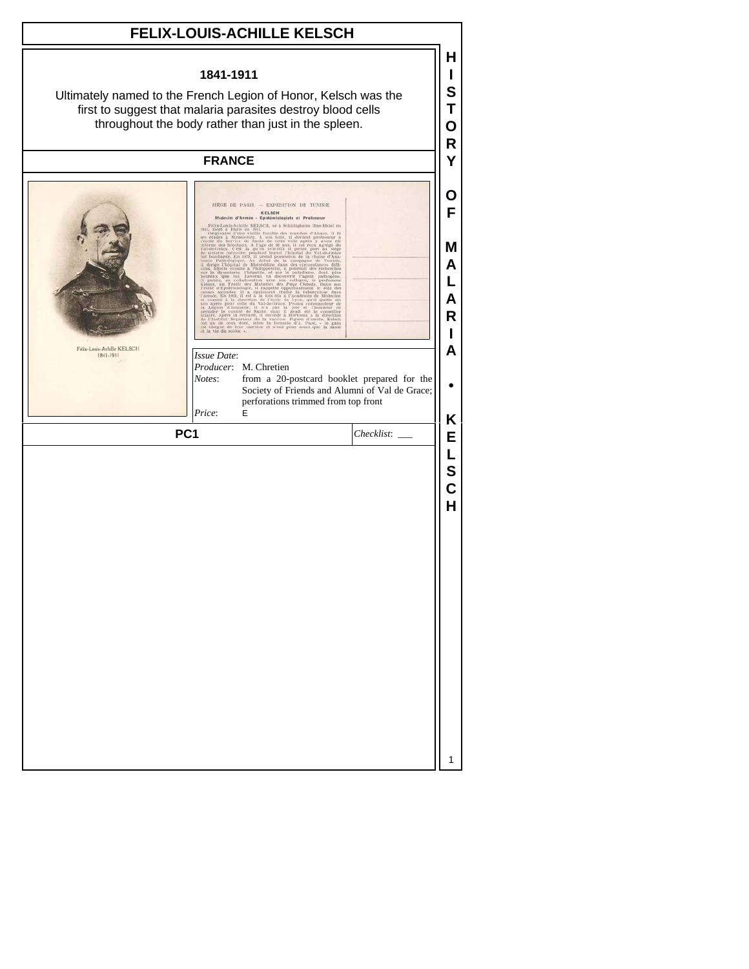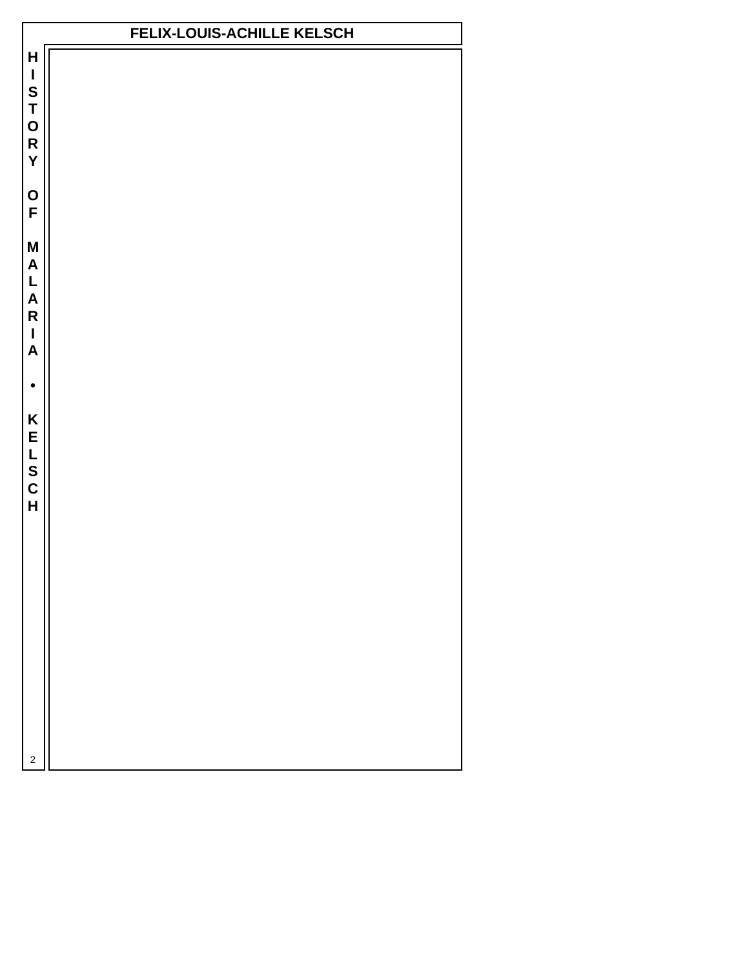## **FELIX-LOUIS-ACHILLE KELSCH**

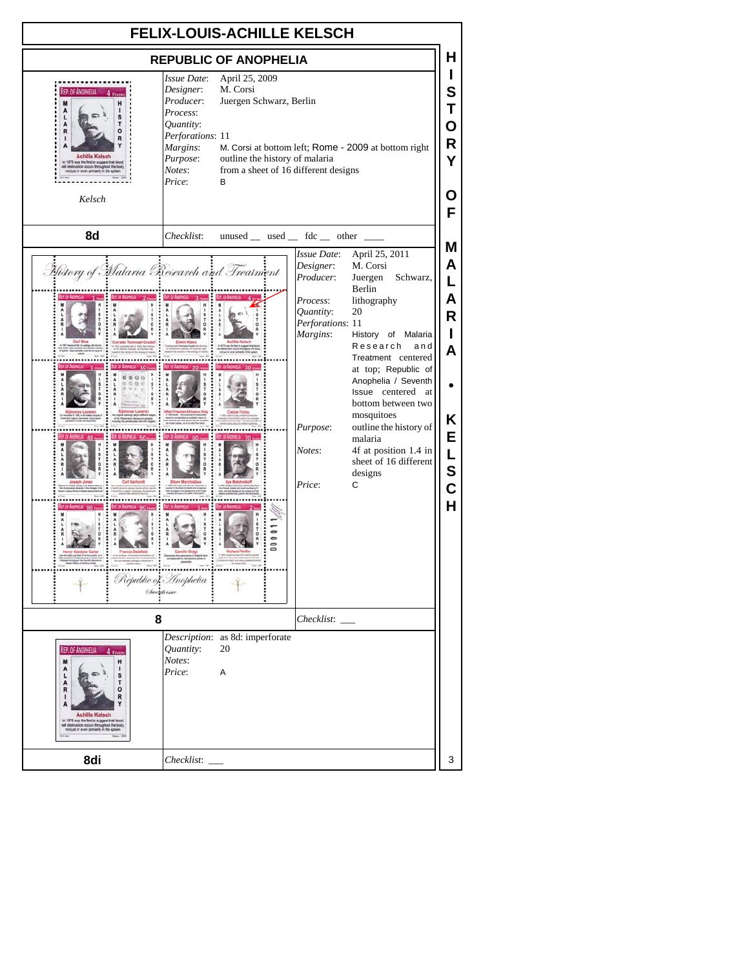